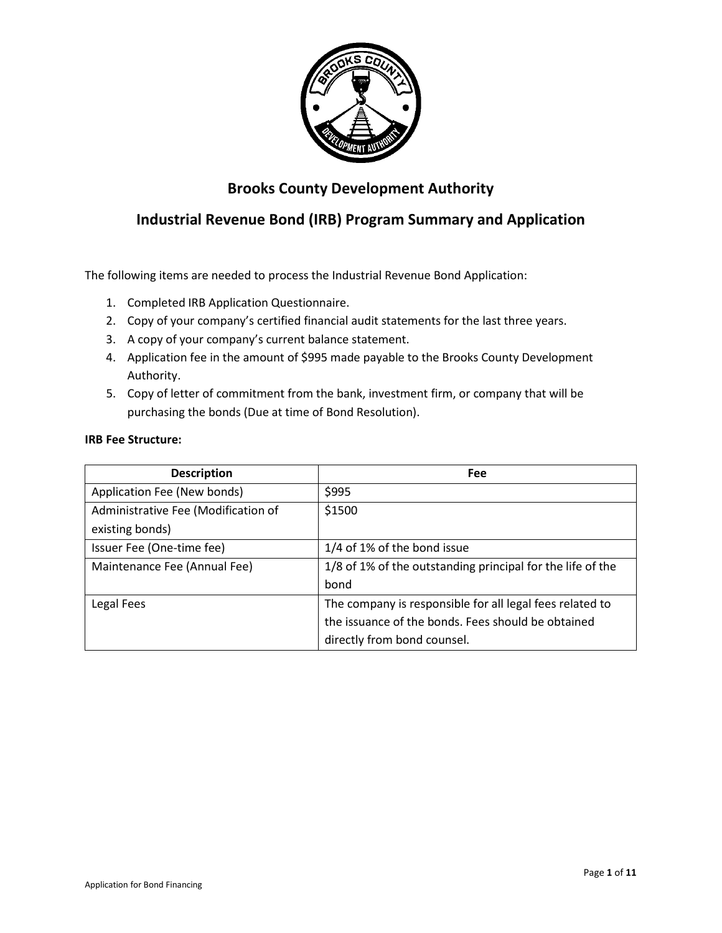

# **Brooks County Development Authority**

# **Industrial Revenue Bond (IRB) Program Summary and Application**

The following items are needed to process the Industrial Revenue Bond Application:

- 1. Completed IRB Application Questionnaire.
- 2. Copy of your company's certified financial audit statements for the last three years.
- 3. A copy of your company's current balance statement.
- 4. Application fee in the amount of \$995 made payable to the Brooks County Development Authority.
- 5. Copy of letter of commitment from the bank, investment firm, or company that will be purchasing the bonds (Due at time of Bond Resolution).

### **IRB Fee Structure:**

| <b>Description</b>                  | Fee                                                        |
|-------------------------------------|------------------------------------------------------------|
| Application Fee (New bonds)         | \$995                                                      |
| Administrative Fee (Modification of | \$1500                                                     |
| existing bonds)                     |                                                            |
| Issuer Fee (One-time fee)           | 1/4 of 1% of the bond issue                                |
| Maintenance Fee (Annual Fee)        | 1/8 of 1% of the outstanding principal for the life of the |
|                                     | bond                                                       |
| Legal Fees                          | The company is responsible for all legal fees related to   |
|                                     | the issuance of the bonds. Fees should be obtained         |
|                                     | directly from bond counsel.                                |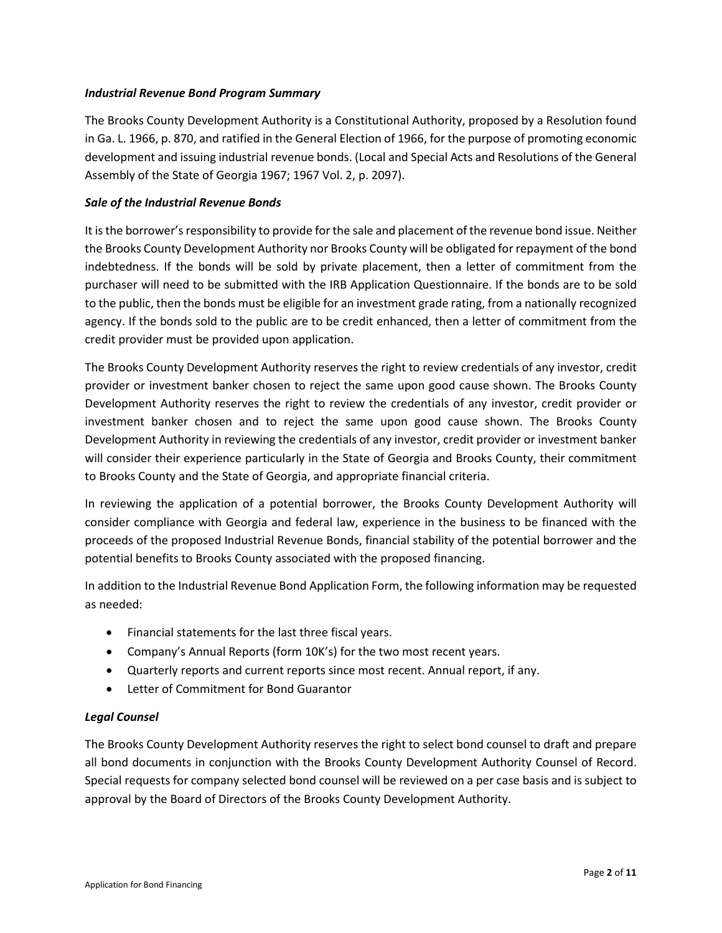### *Industrial Revenue Bond Program Summary*

The Brooks County Development Authority is a Constitutional Authority, proposed by a Resolution found in Ga. L. 1966, p. 870, and ratified in the General Election of 1966, for the purpose of promoting economic development and issuing industrial revenue bonds. (Local and Special Acts and Resolutions of the General Assembly of the State of Georgia 1967; 1967 Vol. 2, p. 2097).

### *Sale of the Industrial Revenue Bonds*

It is the borrower's responsibility to provide for the sale and placement of the revenue bond issue. Neither the Brooks County Development Authority nor Brooks County will be obligated for repayment of the bond indebtedness. If the bonds will be sold by private placement, then a letter of commitment from the purchaser will need to be submitted with the IRB Application Questionnaire. If the bonds are to be sold to the public, then the bonds must be eligible for an investment grade rating, from a nationally recognized agency. If the bonds sold to the public are to be credit enhanced, then a letter of commitment from the credit provider must be provided upon application.

The Brooks County Development Authority reserves the right to review credentials of any investor, credit provider or investment banker chosen to reject the same upon good cause shown. The Brooks County Development Authority reserves the right to review the credentials of any investor, credit provider or investment banker chosen and to reject the same upon good cause shown. The Brooks County Development Authority in reviewing the credentials of any investor, credit provider or investment banker will consider their experience particularly in the State of Georgia and Brooks County, their commitment to Brooks County and the State of Georgia, and appropriate financial criteria.

In reviewing the application of a potential borrower, the Brooks County Development Authority will consider compliance with Georgia and federal law, experience in the business to be financed with the proceeds of the proposed Industrial Revenue Bonds, financial stability of the potential borrower and the potential benefits to Brooks County associated with the proposed financing.

In addition to the Industrial Revenue Bond Application Form, the following information may be requested as needed:

- Financial statements for the last three fiscal years.
- Company's Annual Reports (form 10K's) for the two most recent years.
- Quarterly reports and current reports since most recent. Annual report, if any.
- Letter of Commitment for Bond Guarantor

### *Legal Counsel*

The Brooks County Development Authority reserves the right to select bond counsel to draft and prepare all bond documents in conjunction with the Brooks County Development Authority Counsel of Record. Special requests for company selected bond counsel will be reviewed on a per case basis and is subject to approval by the Board of Directors of the Brooks County Development Authority.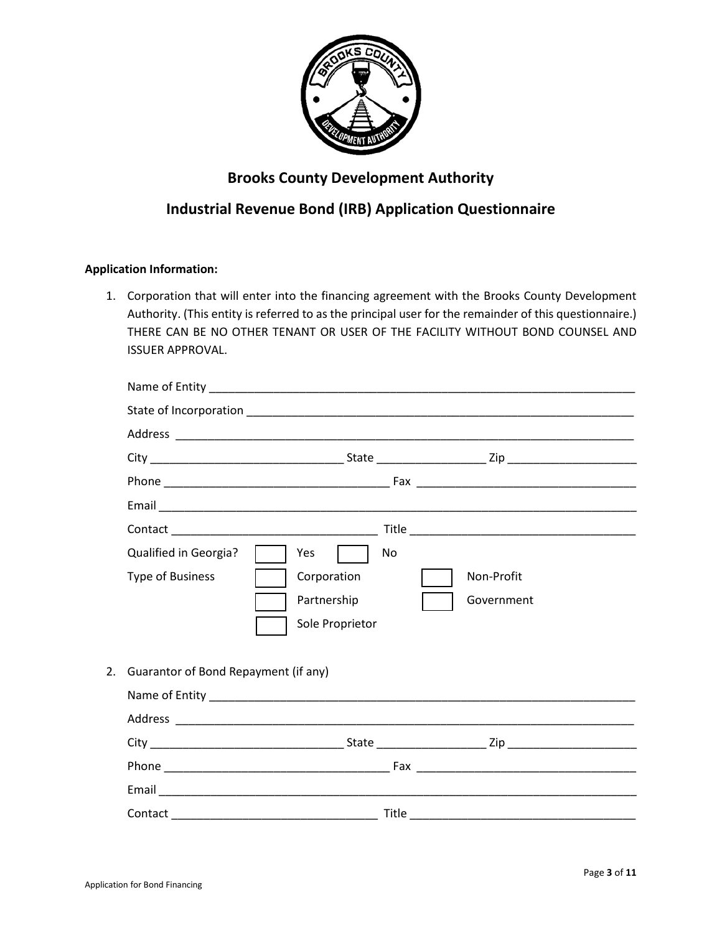

# **Brooks County Development Authority**

## **Industrial Revenue Bond (IRB) Application Questionnaire**

## **Application Information:**

1. Corporation that will enter into the financing agreement with the Brooks County Development Authority. (This entity is referred to as the principal user for the remainder of this questionnaire.) THERE CAN BE NO OTHER TENANT OR USER OF THE FACILITY WITHOUT BOND COUNSEL AND ISSUER APPROVAL.

| Qualified in Georgia?                   | Yes<br>No<br><b>The Contract</b> |  |
|-----------------------------------------|----------------------------------|--|
| <b>Type of Business</b>                 | Corporation<br>Non-Profit        |  |
|                                         | Government<br>Partnership        |  |
|                                         | Sole Proprietor                  |  |
|                                         |                                  |  |
| 2. Guarantor of Bond Repayment (if any) |                                  |  |
|                                         |                                  |  |
|                                         |                                  |  |
|                                         |                                  |  |
|                                         |                                  |  |
|                                         |                                  |  |
|                                         |                                  |  |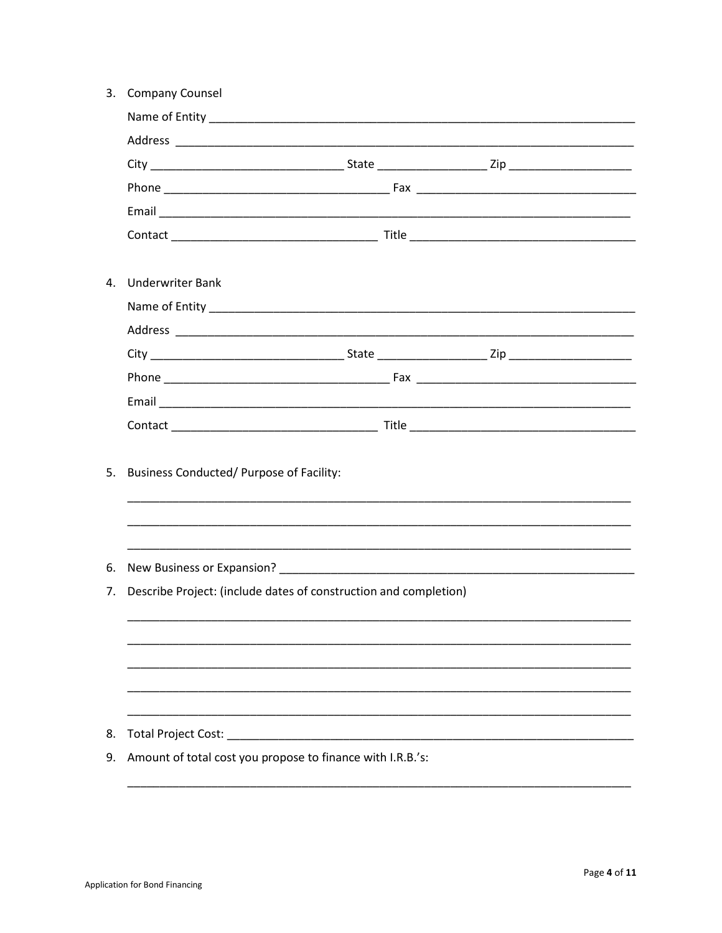|    | 3. Company Counsel                                               |  |  |
|----|------------------------------------------------------------------|--|--|
|    |                                                                  |  |  |
|    |                                                                  |  |  |
|    |                                                                  |  |  |
|    |                                                                  |  |  |
|    |                                                                  |  |  |
|    |                                                                  |  |  |
|    | 4. Underwriter Bank                                              |  |  |
|    |                                                                  |  |  |
|    |                                                                  |  |  |
|    |                                                                  |  |  |
|    |                                                                  |  |  |
|    |                                                                  |  |  |
|    |                                                                  |  |  |
|    |                                                                  |  |  |
| 5. | Business Conducted/ Purpose of Facility:                         |  |  |
|    |                                                                  |  |  |
|    |                                                                  |  |  |
|    |                                                                  |  |  |
| 6. |                                                                  |  |  |
| 7. | Describe Project: (include dates of construction and completion) |  |  |
|    |                                                                  |  |  |
|    |                                                                  |  |  |
|    |                                                                  |  |  |
|    |                                                                  |  |  |
|    |                                                                  |  |  |
| 8. | Total Project Cost:                                              |  |  |
| 9. | Amount of total cost you propose to finance with I.R.B.'s:       |  |  |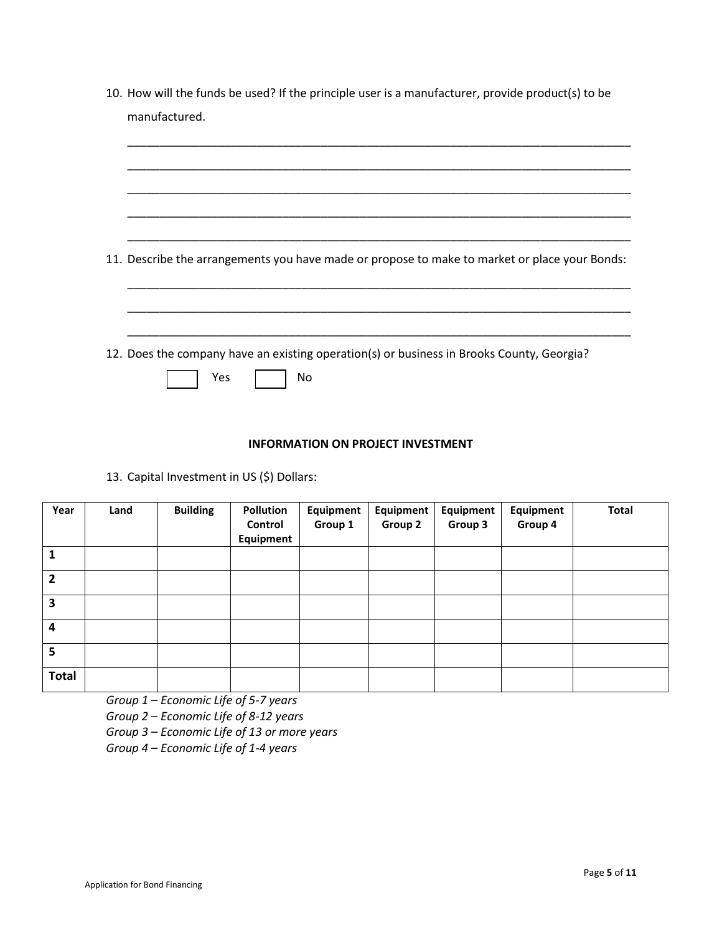| 11. Describe the arrangements you have made or propose to make to market or place your Bonds: |  |  |
|-----------------------------------------------------------------------------------------------|--|--|
|                                                                                               |  |  |
|                                                                                               |  |  |

## **INFORMATION ON PROJECT INVESTMENT**

13. Capital Investment in US (\$) Dollars:

| Year           | Land | <b>Building</b> | <b>Pollution</b><br>Control<br>Equipment | Equipment<br>Group 1 | Equipment<br>Group 2 | Equipment<br>Group 3 | Equipment<br>Group 4 | <b>Total</b> |
|----------------|------|-----------------|------------------------------------------|----------------------|----------------------|----------------------|----------------------|--------------|
| 1              |      |                 |                                          |                      |                      |                      |                      |              |
| $\overline{2}$ |      |                 |                                          |                      |                      |                      |                      |              |
| 3              |      |                 |                                          |                      |                      |                      |                      |              |
| $\overline{4}$ |      |                 |                                          |                      |                      |                      |                      |              |
| 5              |      |                 |                                          |                      |                      |                      |                      |              |
| <b>Total</b>   |      |                 |                                          |                      |                      |                      |                      |              |

*Group 1 – Economic Life of 5-7 years*

*Group 2 – Economic Life of 8-12 years*

*Group 3 – Economic Life of 13 or more years*

*Group 4 – Economic Life of 1-4 years*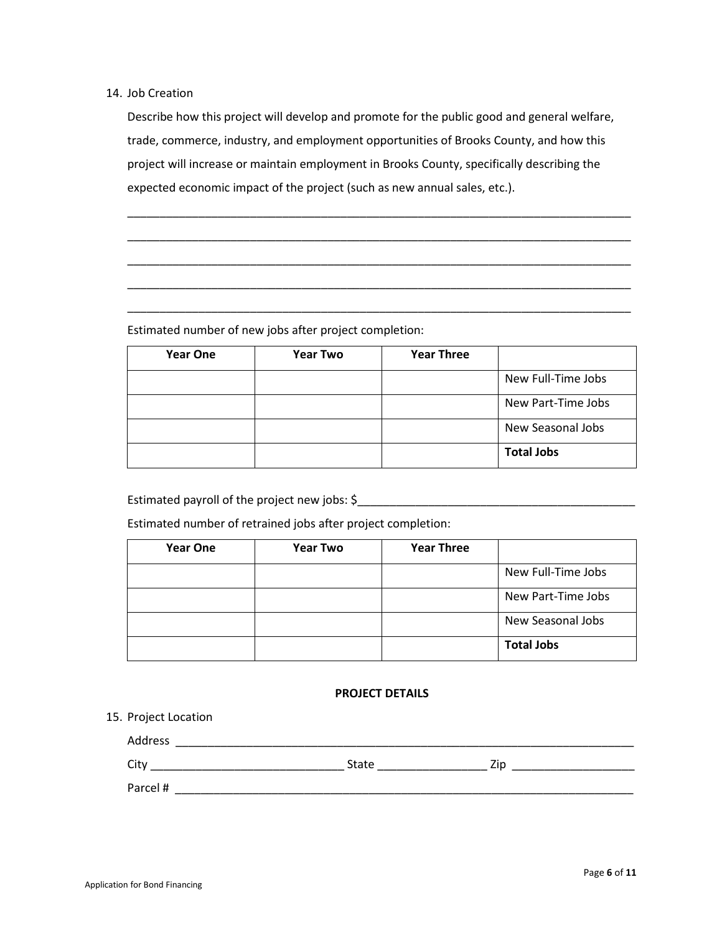### 14. Job Creation

Describe how this project will develop and promote for the public good and general welfare, trade, commerce, industry, and employment opportunities of Brooks County, and how this project will increase or maintain employment in Brooks County, specifically describing the expected economic impact of the project (such as new annual sales, etc.).

\_\_\_\_\_\_\_\_\_\_\_\_\_\_\_\_\_\_\_\_\_\_\_\_\_\_\_\_\_\_\_\_\_\_\_\_\_\_\_\_\_\_\_\_\_\_\_\_\_\_\_\_\_\_\_\_\_\_\_\_\_\_\_\_\_\_\_\_\_\_\_\_\_\_\_\_\_\_

\_\_\_\_\_\_\_\_\_\_\_\_\_\_\_\_\_\_\_\_\_\_\_\_\_\_\_\_\_\_\_\_\_\_\_\_\_\_\_\_\_\_\_\_\_\_\_\_\_\_\_\_\_\_\_\_\_\_\_\_\_\_\_\_\_\_\_\_\_\_\_\_\_\_\_\_\_\_

\_\_\_\_\_\_\_\_\_\_\_\_\_\_\_\_\_\_\_\_\_\_\_\_\_\_\_\_\_\_\_\_\_\_\_\_\_\_\_\_\_\_\_\_\_\_\_\_\_\_\_\_\_\_\_\_\_\_\_\_\_\_\_\_\_\_\_\_\_\_\_\_\_\_\_\_\_\_

\_\_\_\_\_\_\_\_\_\_\_\_\_\_\_\_\_\_\_\_\_\_\_\_\_\_\_\_\_\_\_\_\_\_\_\_\_\_\_\_\_\_\_\_\_\_\_\_\_\_\_\_\_\_\_\_\_\_\_\_\_\_\_\_\_\_\_\_\_\_\_\_\_\_\_\_\_\_

\_\_\_\_\_\_\_\_\_\_\_\_\_\_\_\_\_\_\_\_\_\_\_\_\_\_\_\_\_\_\_\_\_\_\_\_\_\_\_\_\_\_\_\_\_\_\_\_\_\_\_\_\_\_\_\_\_\_\_\_\_\_\_\_\_\_\_\_\_\_\_\_\_\_\_\_\_\_

Estimated number of new jobs after project completion:

| <b>Year One</b> | <b>Year Two</b> | <b>Year Three</b> |                    |
|-----------------|-----------------|-------------------|--------------------|
|                 |                 |                   | New Full-Time Jobs |
|                 |                 |                   | New Part-Time Jobs |
|                 |                 |                   | New Seasonal Jobs  |
|                 |                 |                   | <b>Total Jobs</b>  |

Estimated payroll of the project new jobs:  $\zeta$ 

Estimated number of retrained jobs after project completion:

| <b>Year One</b> | <b>Year Two</b> | <b>Year Three</b> |                    |
|-----------------|-----------------|-------------------|--------------------|
|                 |                 |                   | New Full-Time Jobs |
|                 |                 |                   | New Part-Time Jobs |
|                 |                 |                   | New Seasonal Jobs  |
|                 |                 |                   | <b>Total Jobs</b>  |

## **PROJECT DETAILS**

### 15. Project Location

| Address  |       |     |
|----------|-------|-----|
| City     | State | Zio |
| Parcel # |       |     |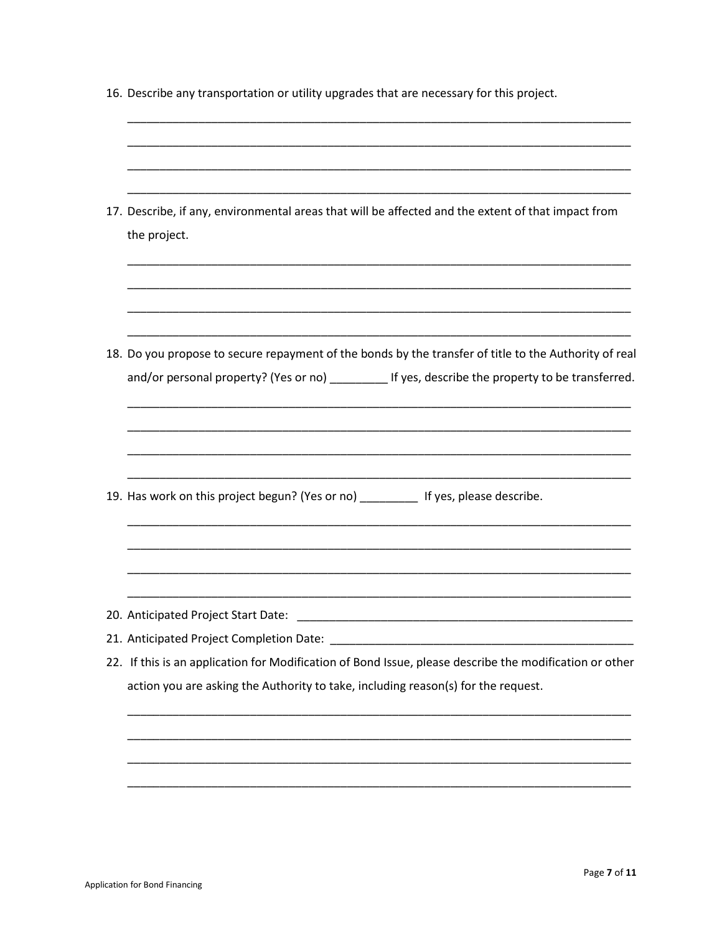| 16. Describe any transportation or utility upgrades that are necessary for this project.                                                                                                                                                                               |
|------------------------------------------------------------------------------------------------------------------------------------------------------------------------------------------------------------------------------------------------------------------------|
| 17. Describe, if any, environmental areas that will be affected and the extent of that impact from<br>the project.                                                                                                                                                     |
| 18. Do you propose to secure repayment of the bonds by the transfer of title to the Authority of real<br>and/or personal property? (Yes or no) ___________ If yes, describe the property to be transferred.                                                            |
| 19. Has work on this project begun? (Yes or no) __________ If yes, please describe.                                                                                                                                                                                    |
| 20. Anticipated Project Start Date:<br><u> 1989 - Johann John Stone, mars et al. 1989 - John Stone, mars et al. 1989 - John Stone, mars et al. 1989 - J</u><br>22. If this is an application for Modification of Bond Issue, please describe the modification or other |
| action you are asking the Authority to take, including reason(s) for the request.                                                                                                                                                                                      |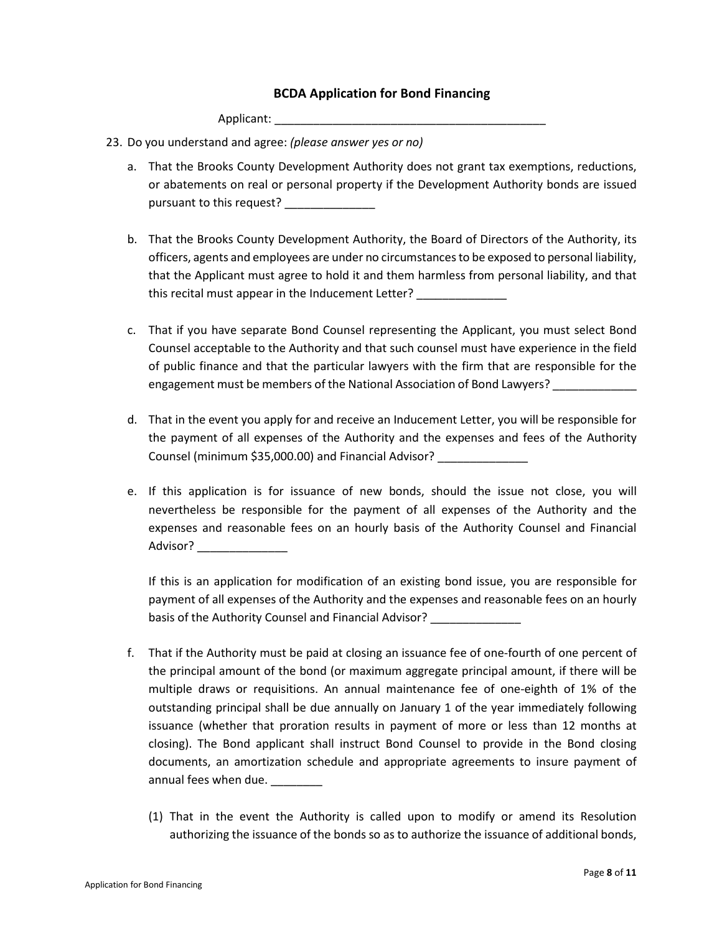## **BCDA Application for Bond Financing**

Applicant:

- 23. Do you understand and agree: *(please answer yes or no)*
	- a. That the Brooks County Development Authority does not grant tax exemptions, reductions, or abatements on real or personal property if the Development Authority bonds are issued pursuant to this request?
	- b. That the Brooks County Development Authority, the Board of Directors of the Authority, its officers, agents and employees are under no circumstances to be exposed to personal liability, that the Applicant must agree to hold it and them harmless from personal liability, and that this recital must appear in the Inducement Letter?
	- c. That if you have separate Bond Counsel representing the Applicant, you must select Bond Counsel acceptable to the Authority and that such counsel must have experience in the field of public finance and that the particular lawyers with the firm that are responsible for the engagement must be members of the National Association of Bond Lawyers?
	- d. That in the event you apply for and receive an Inducement Letter, you will be responsible for the payment of all expenses of the Authority and the expenses and fees of the Authority Counsel (minimum \$35,000.00) and Financial Advisor? \_\_\_\_\_\_\_\_\_\_\_\_\_\_
	- e. If this application is for issuance of new bonds, should the issue not close, you will nevertheless be responsible for the payment of all expenses of the Authority and the expenses and reasonable fees on an hourly basis of the Authority Counsel and Financial Advisor? \_\_\_\_\_\_\_\_\_\_\_\_\_\_

If this is an application for modification of an existing bond issue, you are responsible for payment of all expenses of the Authority and the expenses and reasonable fees on an hourly basis of the Authority Counsel and Financial Advisor?

- f. That if the Authority must be paid at closing an issuance fee of one-fourth of one percent of the principal amount of the bond (or maximum aggregate principal amount, if there will be multiple draws or requisitions. An annual maintenance fee of one-eighth of 1% of the outstanding principal shall be due annually on January 1 of the year immediately following issuance (whether that proration results in payment of more or less than 12 months at closing). The Bond applicant shall instruct Bond Counsel to provide in the Bond closing documents, an amortization schedule and appropriate agreements to insure payment of annual fees when due. \_\_\_\_\_\_\_
	- (1) That in the event the Authority is called upon to modify or amend its Resolution authorizing the issuance of the bonds so as to authorize the issuance of additional bonds,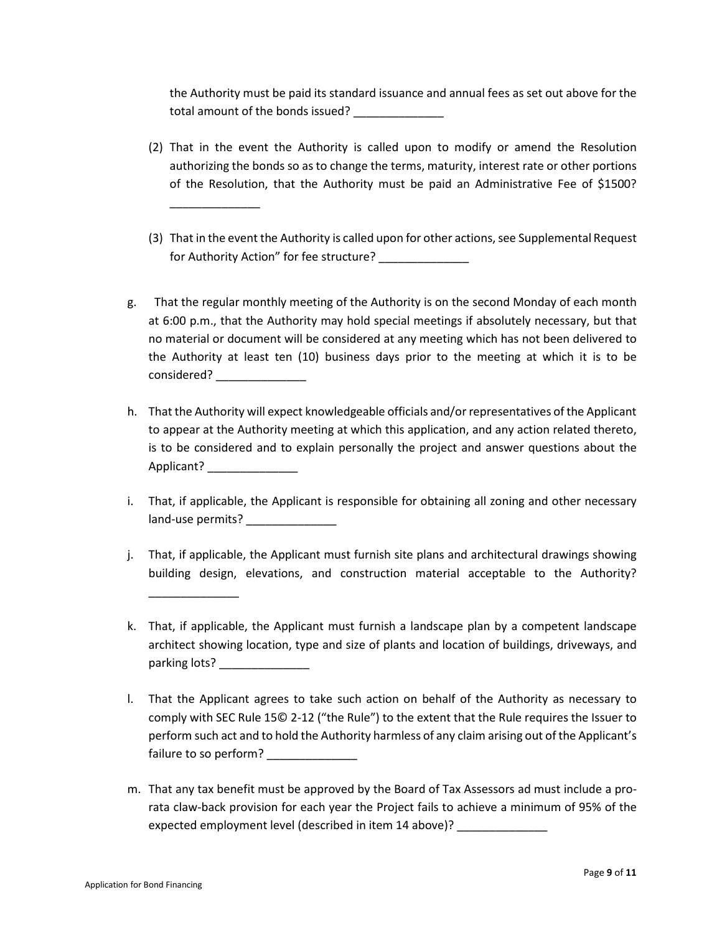the Authority must be paid its standard issuance and annual fees as set out above for the total amount of the bonds issued?

(2) That in the event the Authority is called upon to modify or amend the Resolution authorizing the bonds so as to change the terms, maturity, interest rate or other portions of the Resolution, that the Authority must be paid an Administrative Fee of \$1500?

\_\_\_\_\_\_\_\_\_\_\_\_\_\_

\_\_\_\_\_\_\_\_\_\_\_\_\_\_

- (3) That in the event the Authority is called upon for other actions, see Supplemental Request for Authority Action" for fee structure?
- g. That the regular monthly meeting of the Authority is on the second Monday of each month at 6:00 p.m., that the Authority may hold special meetings if absolutely necessary, but that no material or document will be considered at any meeting which has not been delivered to the Authority at least ten (10) business days prior to the meeting at which it is to be considered?
- h. That the Authority will expect knowledgeable officials and/or representatives of the Applicant to appear at the Authority meeting at which this application, and any action related thereto, is to be considered and to explain personally the project and answer questions about the Applicant?
- i. That, if applicable, the Applicant is responsible for obtaining all zoning and other necessary land-use permits?
- j. That, if applicable, the Applicant must furnish site plans and architectural drawings showing building design, elevations, and construction material acceptable to the Authority?
- k. That, if applicable, the Applicant must furnish a landscape plan by a competent landscape architect showing location, type and size of plants and location of buildings, driveways, and parking lots?
- l. That the Applicant agrees to take such action on behalf of the Authority as necessary to comply with SEC Rule 15© 2-12 ("the Rule") to the extent that the Rule requires the Issuer to perform such act and to hold the Authority harmless of any claim arising out of the Applicant's failure to so perform?
- m. That any tax benefit must be approved by the Board of Tax Assessors ad must include a prorata claw-back provision for each year the Project fails to achieve a minimum of 95% of the expected employment level (described in item 14 above)?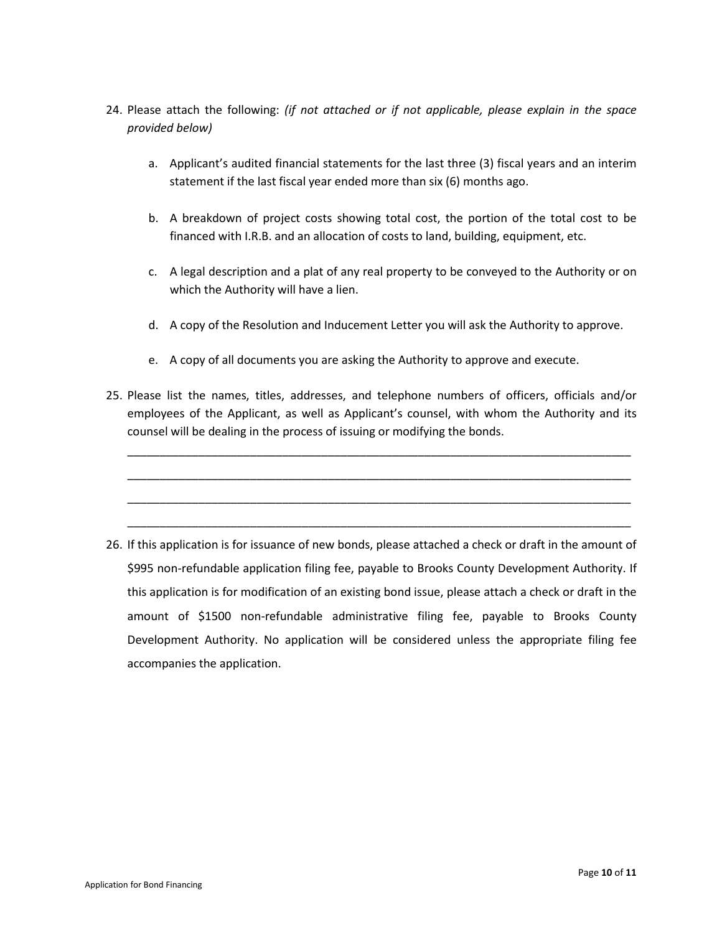- 24. Please attach the following: *(if not attached or if not applicable, please explain in the space provided below)*
	- a. Applicant's audited financial statements for the last three (3) fiscal years and an interim statement if the last fiscal year ended more than six (6) months ago.
	- b. A breakdown of project costs showing total cost, the portion of the total cost to be financed with I.R.B. and an allocation of costs to land, building, equipment, etc.
	- c. A legal description and a plat of any real property to be conveyed to the Authority or on which the Authority will have a lien.
	- d. A copy of the Resolution and Inducement Letter you will ask the Authority to approve.
	- e. A copy of all documents you are asking the Authority to approve and execute.
- 25. Please list the names, titles, addresses, and telephone numbers of officers, officials and/or employees of the Applicant, as well as Applicant's counsel, with whom the Authority and its counsel will be dealing in the process of issuing or modifying the bonds.

\_\_\_\_\_\_\_\_\_\_\_\_\_\_\_\_\_\_\_\_\_\_\_\_\_\_\_\_\_\_\_\_\_\_\_\_\_\_\_\_\_\_\_\_\_\_\_\_\_\_\_\_\_\_\_\_\_\_\_\_\_\_\_\_\_\_\_\_\_\_\_\_\_\_\_\_\_\_

\_\_\_\_\_\_\_\_\_\_\_\_\_\_\_\_\_\_\_\_\_\_\_\_\_\_\_\_\_\_\_\_\_\_\_\_\_\_\_\_\_\_\_\_\_\_\_\_\_\_\_\_\_\_\_\_\_\_\_\_\_\_\_\_\_\_\_\_\_\_\_\_\_\_\_\_\_\_

\_\_\_\_\_\_\_\_\_\_\_\_\_\_\_\_\_\_\_\_\_\_\_\_\_\_\_\_\_\_\_\_\_\_\_\_\_\_\_\_\_\_\_\_\_\_\_\_\_\_\_\_\_\_\_\_\_\_\_\_\_\_\_\_\_\_\_\_\_\_\_\_\_\_\_\_\_\_

\_\_\_\_\_\_\_\_\_\_\_\_\_\_\_\_\_\_\_\_\_\_\_\_\_\_\_\_\_\_\_\_\_\_\_\_\_\_\_\_\_\_\_\_\_\_\_\_\_\_\_\_\_\_\_\_\_\_\_\_\_\_\_\_\_\_\_\_\_\_\_\_\_\_\_\_\_\_

26. If this application is for issuance of new bonds, please attached a check or draft in the amount of \$995 non-refundable application filing fee, payable to Brooks County Development Authority. If this application is for modification of an existing bond issue, please attach a check or draft in the amount of \$1500 non-refundable administrative filing fee, payable to Brooks County Development Authority. No application will be considered unless the appropriate filing fee accompanies the application.